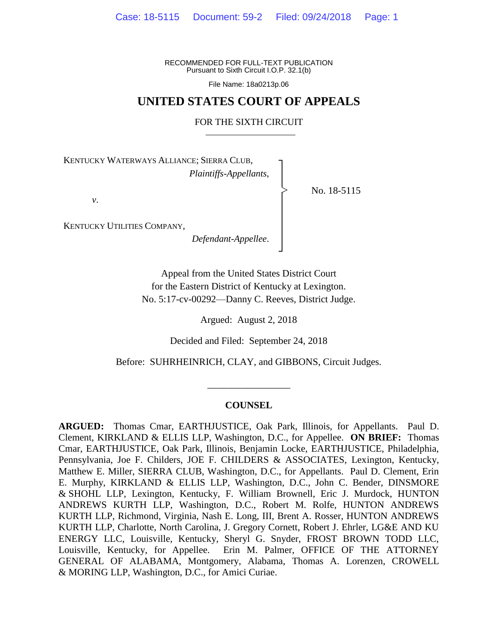RECOMMENDED FOR FULL-TEXT PUBLICATION Pursuant to Sixth Circuit I.O.P. 32.1(b)

File Name: 18a0213p.06

# **UNITED STATES COURT OF APPEALS**

## FOR THE SIXTH CIRCUIT

┐ │ │ │ │ │ │ │ ┘

|<br>|<br>|

No. 18-5115

KENTUCKY WATERWAYS ALLIANCE; SIERRA CLUB, *Plaintiffs-Appellants*,

*v*.

KENTUCKY UTILITIES COMPANY,

*Defendant-Appellee*.

Appeal from the United States District Court for the Eastern District of Kentucky at Lexington. No. 5:17-cv-00292—Danny C. Reeves, District Judge.

Argued: August 2, 2018

Decided and Filed: September 24, 2018

Before: SUHRHEINRICH, CLAY, and GIBBONS, Circuit Judges.

#### **COUNSEL**

\_\_\_\_\_\_\_\_\_\_\_\_\_\_\_\_\_

**ARGUED:** Thomas Cmar, EARTHJUSTICE, Oak Park, Illinois, for Appellants. Paul D. Clement, KIRKLAND & ELLIS LLP, Washington, D.C., for Appellee. **ON BRIEF:** Thomas Cmar, EARTHJUSTICE, Oak Park, Illinois, Benjamin Locke, EARTHJUSTICE, Philadelphia, Pennsylvania, Joe F. Childers, JOE F. CHILDERS & ASSOCIATES, Lexington, Kentucky, Matthew E. Miller, SIERRA CLUB, Washington, D.C., for Appellants. Paul D. Clement, Erin E. Murphy, KIRKLAND & ELLIS LLP, Washington, D.C., John C. Bender, DINSMORE & SHOHL LLP, Lexington, Kentucky, F. William Brownell, Eric J. Murdock, HUNTON ANDREWS KURTH LLP, Washington, D.C., Robert M. Rolfe, HUNTON ANDREWS KURTH LLP, Richmond, Virginia, Nash E. Long, III, Brent A. Rosser, HUNTON ANDREWS KURTH LLP, Charlotte, North Carolina, J. Gregory Cornett, Robert J. Ehrler, LG&E AND KU ENERGY LLC, Louisville, Kentucky, Sheryl G. Snyder, FROST BROWN TODD LLC, Louisville, Kentucky, for Appellee. Erin M. Palmer, OFFICE OF THE ATTORNEY GENERAL OF ALABAMA, Montgomery, Alabama, Thomas A. Lorenzen, CROWELL & MORING LLP, Washington, D.C., for Amici Curiae.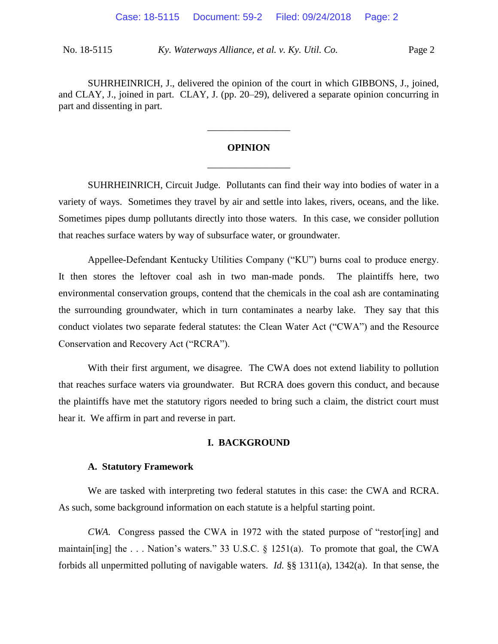SUHRHEINRICH, J., delivered the opinion of the court in which GIBBONS, J., joined, and CLAY, J., joined in part. CLAY, J. (pp. 20–29), delivered a separate opinion concurring in part and dissenting in part.

# **OPINION** \_\_\_\_\_\_\_\_\_\_\_\_\_\_\_\_\_

\_\_\_\_\_\_\_\_\_\_\_\_\_\_\_\_\_

SUHRHEINRICH, Circuit Judge. Pollutants can find their way into bodies of water in a variety of ways. Sometimes they travel by air and settle into lakes, rivers, oceans, and the like. Sometimes pipes dump pollutants directly into those waters. In this case, we consider pollution that reaches surface waters by way of subsurface water, or groundwater.

Appellee-Defendant Kentucky Utilities Company ("KU") burns coal to produce energy. It then stores the leftover coal ash in two man-made ponds. The plaintiffs here, two environmental conservation groups, contend that the chemicals in the coal ash are contaminating the surrounding groundwater, which in turn contaminates a nearby lake. They say that this conduct violates two separate federal statutes: the Clean Water Act ("CWA") and the Resource Conservation and Recovery Act ("RCRA").

With their first argument, we disagree. The CWA does not extend liability to pollution that reaches surface waters via groundwater. But RCRA does govern this conduct, and because the plaintiffs have met the statutory rigors needed to bring such a claim, the district court must hear it. We affirm in part and reverse in part.

## **I. BACKGROUND**

## **A. Statutory Framework**

We are tasked with interpreting two federal statutes in this case: the CWA and RCRA. As such, some background information on each statute is a helpful starting point.

*CWA.* Congress passed the CWA in 1972 with the stated purpose of "restor[ing] and maintain[ing] the . . . Nation's waters." 33 U.S.C. § 1251(a). To promote that goal, the CWA forbids all unpermitted polluting of navigable waters. *Id.* §§ 1311(a), 1342(a). In that sense, the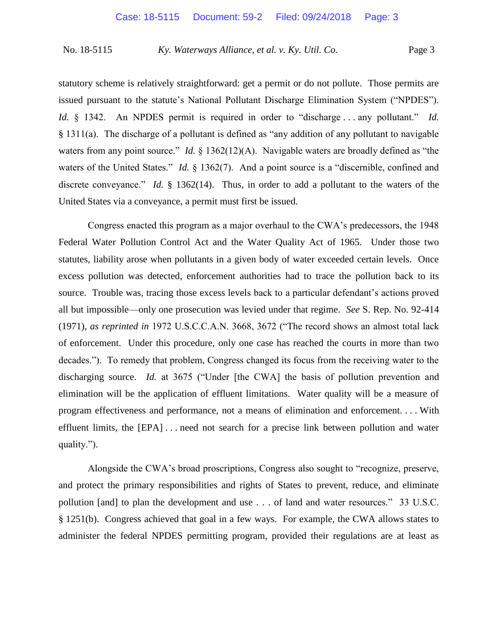statutory scheme is relatively straightforward: get a permit or do not pollute. Those permits are issued pursuant to the statute's National Pollutant Discharge Elimination System ("NPDES"). *Id.*  $\&$  1342. An NPDES permit is required in order to "discharge ... any pollutant." *Id.* § 1311(a). The discharge of a pollutant is defined as "any addition of any pollutant to navigable waters from any point source." *Id.* § 1362(12)(A). Navigable waters are broadly defined as "the waters of the United States." *Id.* § 1362(7). And a point source is a "discernible, confined and discrete conveyance." *Id.* § 1362(14). Thus, in order to add a pollutant to the waters of the United States via a conveyance, a permit must first be issued.

Congress enacted this program as a major overhaul to the CWA's predecessors, the 1948 Federal Water Pollution Control Act and the Water Quality Act of 1965. Under those two statutes, liability arose when pollutants in a given body of water exceeded certain levels. Once excess pollution was detected, enforcement authorities had to trace the pollution back to its source. Trouble was, tracing those excess levels back to a particular defendant's actions proved all but impossible—only one prosecution was levied under that regime. *See* S. Rep. No. 92-414 (1971), *as reprinted in* 1972 U.S.C.C.A.N. 3668, 3672 ("The record shows an almost total lack of enforcement. Under this procedure, only one case has reached the courts in more than two decades."). To remedy that problem, Congress changed its focus from the receiving water to the discharging source. *Id.* at 3675 ("Under [the CWA] the basis of pollution prevention and elimination will be the application of effluent limitations. Water quality will be a measure of program effectiveness and performance, not a means of elimination and enforcement. . . . With effluent limits, the [EPA] . . . need not search for a precise link between pollution and water quality.").

Alongside the CWA's broad proscriptions, Congress also sought to "recognize, preserve, and protect the primary responsibilities and rights of States to prevent, reduce, and eliminate pollution [and] to plan the development and use . . . of land and water resources." 33 U.S.C. § 1251(b). Congress achieved that goal in a few ways. For example, the CWA allows states to administer the federal NPDES permitting program, provided their regulations are at least as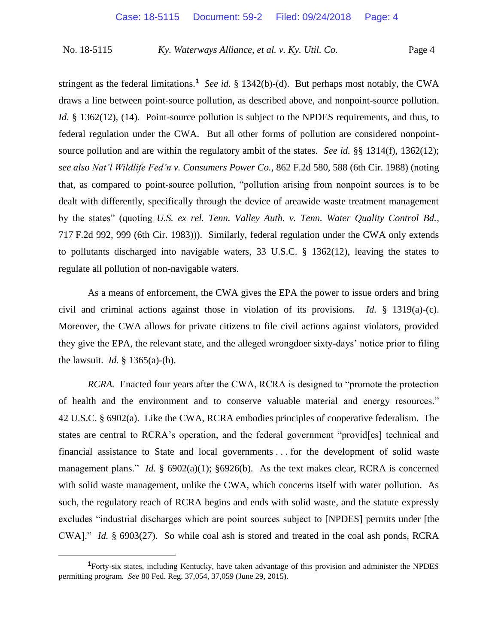stringent as the federal limitations.**<sup>1</sup>** *See id.* § 1342(b)-(d). But perhaps most notably, the CWA draws a line between point-source pollution, as described above, and nonpoint-source pollution. *Id.* § 1362(12), (14). Point-source pollution is subject to the NPDES requirements, and thus, to federal regulation under the CWA. But all other forms of pollution are considered nonpointsource pollution and are within the regulatory ambit of the states. *See id.* §§ 1314(f), 1362(12); *see also Nat'l Wildlife Fed'n v. Consumers Power Co.*, 862 F.2d 580, 588 (6th Cir. 1988) (noting that, as compared to point-source pollution, "pollution arising from nonpoint sources is to be dealt with differently, specifically through the device of areawide waste treatment management by the states" (quoting *U.S. ex rel. Tenn. Valley Auth. v. Tenn. Water Quality Control Bd.*, 717 F.2d 992, 999 (6th Cir. 1983))). Similarly, federal regulation under the CWA only extends to pollutants discharged into navigable waters, 33 U.S.C. § 1362(12), leaving the states to regulate all pollution of non-navigable waters.

As a means of enforcement, the CWA gives the EPA the power to issue orders and bring civil and criminal actions against those in violation of its provisions. *Id.* § 1319(a)-(c). Moreover, the CWA allows for private citizens to file civil actions against violators, provided they give the EPA, the relevant state, and the alleged wrongdoer sixty-days' notice prior to filing the lawsuit. *Id.* § 1365(a)-(b).

*RCRA.* Enacted four years after the CWA, RCRA is designed to "promote the protection of health and the environment and to conserve valuable material and energy resources." 42 U.S.C. § 6902(a). Like the CWA, RCRA embodies principles of cooperative federalism. The states are central to RCRA's operation, and the federal government "provid[es] technical and financial assistance to State and local governments . . . for the development of solid waste management plans." *Id.* § 6902(a)(1); §6926(b). As the text makes clear, RCRA is concerned with solid waste management, unlike the CWA, which concerns itself with water pollution. As such, the regulatory reach of RCRA begins and ends with solid waste, and the statute expressly excludes "industrial discharges which are point sources subject to [NPDES] permits under [the CWA]." *Id.* § 6903(27). So while coal ash is stored and treated in the coal ash ponds, RCRA

**<sup>1</sup>**Forty-six states, including Kentucky, have taken advantage of this provision and administer the NPDES permitting program. *See* 80 Fed. Reg. 37,054, 37,059 (June 29, 2015).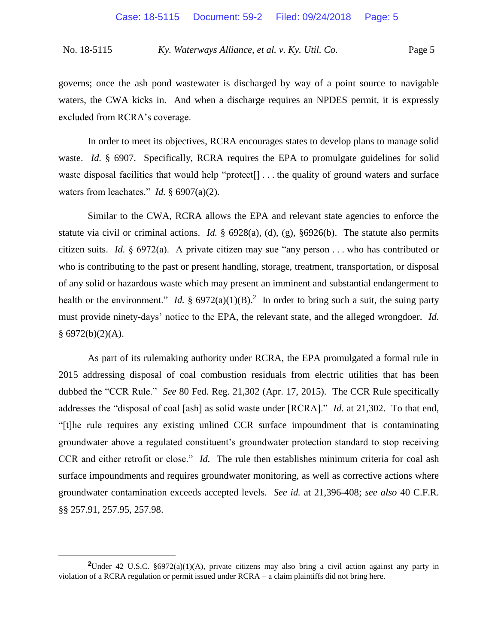governs; once the ash pond wastewater is discharged by way of a point source to navigable waters, the CWA kicks in. And when a discharge requires an NPDES permit, it is expressly excluded from RCRA's coverage.

In order to meet its objectives, RCRA encourages states to develop plans to manage solid waste. *Id.* § 6907. Specifically, RCRA requires the EPA to promulgate guidelines for solid waste disposal facilities that would help "protect<sup>[]</sup>... the quality of ground waters and surface waters from leachates." *Id.* § 6907(a)(2).

Similar to the CWA, RCRA allows the EPA and relevant state agencies to enforce the statute via civil or criminal actions. *Id.* § 6928(a), (d), (g), §6926(b). The statute also permits citizen suits. *Id.* § 6972(a). A private citizen may sue "any person . . . who has contributed or who is contributing to the past or present handling, storage, treatment, transportation, or disposal of any solid or hazardous waste which may present an imminent and substantial endangerment to health or the environment." *Id.*  $\S 6972(a)(1)(B)$ .<sup>2</sup> In order to bring such a suit, the suing party must provide ninety-days' notice to the EPA, the relevant state, and the alleged wrongdoer. *Id.*   $§ 6972(b)(2)(A).$ 

As part of its rulemaking authority under RCRA, the EPA promulgated a formal rule in 2015 addressing disposal of coal combustion residuals from electric utilities that has been dubbed the "CCR Rule." *See* 80 Fed. Reg. 21,302 (Apr. 17, 2015). The CCR Rule specifically addresses the "disposal of coal [ash] as solid waste under [RCRA]." *Id.* at 21,302. To that end, "[t]he rule requires any existing unlined CCR surface impoundment that is contaminating groundwater above a regulated constituent's groundwater protection standard to stop receiving CCR and either retrofit or close." *Id.* The rule then establishes minimum criteria for coal ash surface impoundments and requires groundwater monitoring, as well as corrective actions where groundwater contamination exceeds accepted levels. *See id.* at 21,396-408; *see also* 40 C.F.R. §§ 257.91, 257.95, 257.98.

**<sup>2</sup>**Under 42 U.S.C. §6972(a)(1)(A), private citizens may also bring a civil action against any party in violation of a RCRA regulation or permit issued under RCRA – a claim plaintiffs did not bring here.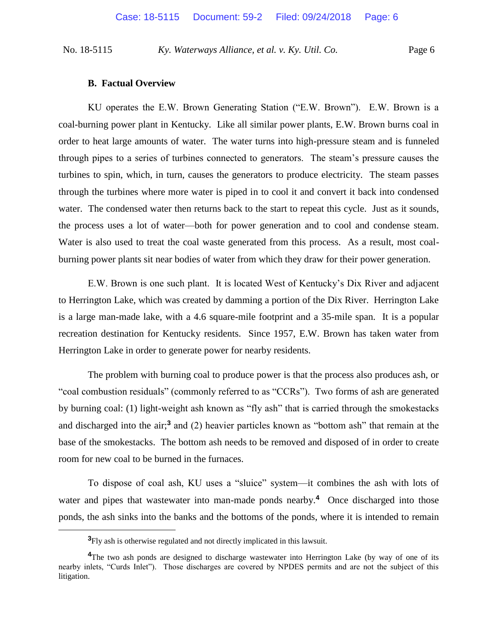#### **B. Factual Overview**

KU operates the E.W. Brown Generating Station ("E.W. Brown"). E.W. Brown is a coal-burning power plant in Kentucky. Like all similar power plants, E.W. Brown burns coal in order to heat large amounts of water. The water turns into high-pressure steam and is funneled through pipes to a series of turbines connected to generators. The steam's pressure causes the turbines to spin, which, in turn, causes the generators to produce electricity. The steam passes through the turbines where more water is piped in to cool it and convert it back into condensed water. The condensed water then returns back to the start to repeat this cycle. Just as it sounds, the process uses a lot of water—both for power generation and to cool and condense steam. Water is also used to treat the coal waste generated from this process. As a result, most coalburning power plants sit near bodies of water from which they draw for their power generation.

E.W. Brown is one such plant. It is located West of Kentucky's Dix River and adjacent to Herrington Lake, which was created by damming a portion of the Dix River. Herrington Lake is a large man-made lake, with a 4.6 square-mile footprint and a 35-mile span. It is a popular recreation destination for Kentucky residents. Since 1957, E.W. Brown has taken water from Herrington Lake in order to generate power for nearby residents.

The problem with burning coal to produce power is that the process also produces ash, or "coal combustion residuals" (commonly referred to as "CCRs"). Two forms of ash are generated by burning coal: (1) light-weight ash known as "fly ash" that is carried through the smokestacks and discharged into the air;**<sup>3</sup>** and (2) heavier particles known as "bottom ash" that remain at the base of the smokestacks. The bottom ash needs to be removed and disposed of in order to create room for new coal to be burned in the furnaces.

To dispose of coal ash, KU uses a "sluice" system—it combines the ash with lots of water and pipes that wastewater into man-made ponds nearby.<sup>4</sup> Once discharged into those ponds, the ash sinks into the banks and the bottoms of the ponds, where it is intended to remain

**<sup>3</sup>**Fly ash is otherwise regulated and not directly implicated in this lawsuit.

**<sup>4</sup>**The two ash ponds are designed to discharge wastewater into Herrington Lake (by way of one of its nearby inlets, "Curds Inlet"). Those discharges are covered by NPDES permits and are not the subject of this litigation.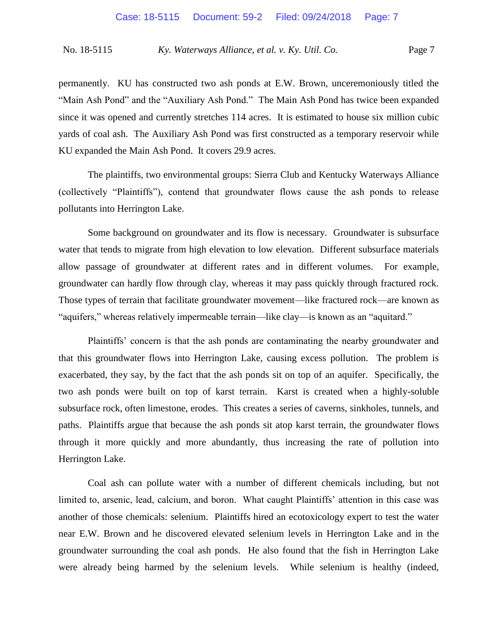permanently. KU has constructed two ash ponds at E.W. Brown, unceremoniously titled the "Main Ash Pond" and the "Auxiliary Ash Pond." The Main Ash Pond has twice been expanded since it was opened and currently stretches 114 acres. It is estimated to house six million cubic yards of coal ash. The Auxiliary Ash Pond was first constructed as a temporary reservoir while KU expanded the Main Ash Pond. It covers 29.9 acres.

The plaintiffs, two environmental groups: Sierra Club and Kentucky Waterways Alliance (collectively "Plaintiffs"), contend that groundwater flows cause the ash ponds to release pollutants into Herrington Lake.

Some background on groundwater and its flow is necessary. Groundwater is subsurface water that tends to migrate from high elevation to low elevation. Different subsurface materials allow passage of groundwater at different rates and in different volumes. For example, groundwater can hardly flow through clay, whereas it may pass quickly through fractured rock. Those types of terrain that facilitate groundwater movement—like fractured rock—are known as "aquifers," whereas relatively impermeable terrain—like clay—is known as an "aquitard."

Plaintiffs' concern is that the ash ponds are contaminating the nearby groundwater and that this groundwater flows into Herrington Lake, causing excess pollution. The problem is exacerbated, they say, by the fact that the ash ponds sit on top of an aquifer. Specifically, the two ash ponds were built on top of karst terrain. Karst is created when a highly-soluble subsurface rock, often limestone, erodes. This creates a series of caverns, sinkholes, tunnels, and paths. Plaintiffs argue that because the ash ponds sit atop karst terrain, the groundwater flows through it more quickly and more abundantly, thus increasing the rate of pollution into Herrington Lake.

Coal ash can pollute water with a number of different chemicals including, but not limited to, arsenic, lead, calcium, and boron. What caught Plaintiffs' attention in this case was another of those chemicals: selenium. Plaintiffs hired an ecotoxicology expert to test the water near E.W. Brown and he discovered elevated selenium levels in Herrington Lake and in the groundwater surrounding the coal ash ponds. He also found that the fish in Herrington Lake were already being harmed by the selenium levels. While selenium is healthy (indeed,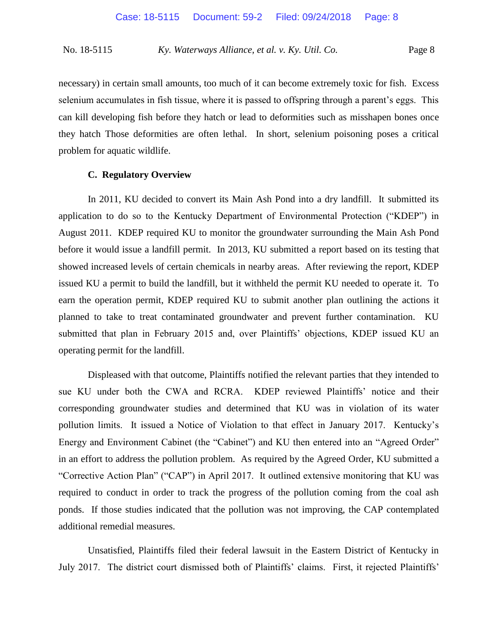necessary) in certain small amounts, too much of it can become extremely toxic for fish. Excess selenium accumulates in fish tissue, where it is passed to offspring through a parent's eggs. This can kill developing fish before they hatch or lead to deformities such as misshapen bones once they hatch Those deformities are often lethal. In short, selenium poisoning poses a critical problem for aquatic wildlife.

## **C. Regulatory Overview**

In 2011, KU decided to convert its Main Ash Pond into a dry landfill. It submitted its application to do so to the Kentucky Department of Environmental Protection ("KDEP") in August 2011. KDEP required KU to monitor the groundwater surrounding the Main Ash Pond before it would issue a landfill permit. In 2013, KU submitted a report based on its testing that showed increased levels of certain chemicals in nearby areas. After reviewing the report, KDEP issued KU a permit to build the landfill, but it withheld the permit KU needed to operate it. To earn the operation permit, KDEP required KU to submit another plan outlining the actions it planned to take to treat contaminated groundwater and prevent further contamination. KU submitted that plan in February 2015 and, over Plaintiffs' objections, KDEP issued KU an operating permit for the landfill.

Displeased with that outcome, Plaintiffs notified the relevant parties that they intended to sue KU under both the CWA and RCRA. KDEP reviewed Plaintiffs' notice and their corresponding groundwater studies and determined that KU was in violation of its water pollution limits. It issued a Notice of Violation to that effect in January 2017. Kentucky's Energy and Environment Cabinet (the "Cabinet") and KU then entered into an "Agreed Order" in an effort to address the pollution problem. As required by the Agreed Order, KU submitted a "Corrective Action Plan" ("CAP") in April 2017. It outlined extensive monitoring that KU was required to conduct in order to track the progress of the pollution coming from the coal ash ponds. If those studies indicated that the pollution was not improving, the CAP contemplated additional remedial measures.

Unsatisfied, Plaintiffs filed their federal lawsuit in the Eastern District of Kentucky in July 2017. The district court dismissed both of Plaintiffs' claims. First, it rejected Plaintiffs'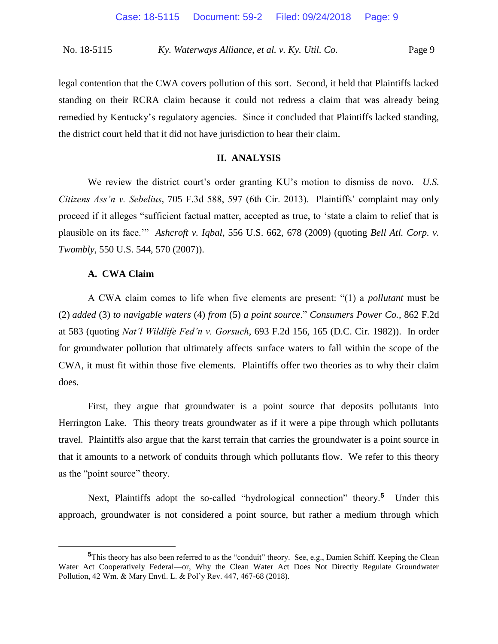legal contention that the CWA covers pollution of this sort. Second, it held that Plaintiffs lacked standing on their RCRA claim because it could not redress a claim that was already being remedied by Kentucky's regulatory agencies. Since it concluded that Plaintiffs lacked standing, the district court held that it did not have jurisdiction to hear their claim.

## **II. ANALYSIS**

We review the district court's order granting KU's motion to dismiss de novo. *U.S. Citizens Ass'n v. Sebelius*, 705 F.3d 588, 597 (6th Cir. 2013). Plaintiffs' complaint may only proceed if it alleges "sufficient factual matter, accepted as true, to 'state a claim to relief that is plausible on its face.'" *Ashcroft v. Iqbal*, 556 U.S. 662, 678 (2009) (quoting *Bell Atl. Corp. v. Twombly*, 550 U.S. 544, 570 (2007)).

## **A. CWA Claim**

 $\overline{a}$ 

A CWA claim comes to life when five elements are present: "(1) a *pollutant* must be (2) *added* (3) *to navigable waters* (4) *from* (5) *a point source*." *Consumers Power Co.*, 862 F.2d at 583 (quoting *Nat'l Wildlife Fed'n v. Gorsuch*, 693 F.2d 156, 165 (D.C. Cir. 1982)). In order for groundwater pollution that ultimately affects surface waters to fall within the scope of the CWA, it must fit within those five elements. Plaintiffs offer two theories as to why their claim does.

First, they argue that groundwater is a point source that deposits pollutants into Herrington Lake. This theory treats groundwater as if it were a pipe through which pollutants travel. Plaintiffs also argue that the karst terrain that carries the groundwater is a point source in that it amounts to a network of conduits through which pollutants flow. We refer to this theory as the "point source" theory.

Next, Plaintiffs adopt the so-called "hydrological connection" theory.<sup>5</sup> Under this approach, groundwater is not considered a point source, but rather a medium through which

**<sup>5</sup>**This theory has also been referred to as the "conduit" theory. See, e.g., Damien Schiff, Keeping the Clean Water Act Cooperatively Federal—or, Why the Clean Water Act Does Not Directly Regulate Groundwater Pollution, 42 Wm. & Mary Envtl. L. & Pol'y Rev. 447, 467-68 (2018).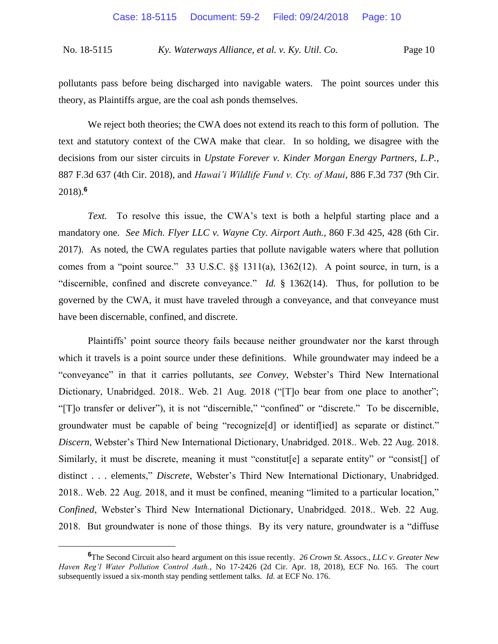pollutants pass before being discharged into navigable waters. The point sources under this theory, as Plaintiffs argue, are the coal ash ponds themselves.

We reject both theories; the CWA does not extend its reach to this form of pollution. The text and statutory context of the CWA make that clear. In so holding, we disagree with the decisions from our sister circuits in *Upstate Forever v. Kinder Morgan Energy Partners, L.P.*, 887 F.3d 637 (4th Cir. 2018), and *Hawai'i Wildlife Fund v. Cty. of Maui*, 886 F.3d 737 (9th Cir. 2018).**<sup>6</sup>**

*Text.* To resolve this issue, the CWA's text is both a helpful starting place and a mandatory one. *See Mich. Flyer LLC v. Wayne Cty. Airport Auth.*, 860 F.3d 425, 428 (6th Cir. 2017). As noted, the CWA regulates parties that pollute navigable waters where that pollution comes from a "point source." 33 U.S.C. §§ 1311(a), 1362(12). A point source, in turn, is a "discernible, confined and discrete conveyance." *Id.* § 1362(14). Thus, for pollution to be governed by the CWA, it must have traveled through a conveyance, and that conveyance must have been discernable, confined, and discrete.

Plaintiffs' point source theory fails because neither groundwater nor the karst through which it travels is a point source under these definitions. While groundwater may indeed be a "conveyance" in that it carries pollutants, *see Convey*, Webster's Third New International Dictionary, Unabridged. 2018.. Web. 21 Aug. 2018 ("To bear from one place to another"; "[T]o transfer or deliver"), it is not "discernible," "confined" or "discrete." To be discernible, groundwater must be capable of being "recognize[d] or identif[ied] as separate or distinct." *Discern*, Webster's Third New International Dictionary, Unabridged. 2018.. Web. 22 Aug. 2018. Similarly, it must be discrete, meaning it must "constitut[e] a separate entity" or "consist[] of distinct . . . elements," *Discrete*, Webster's Third New International Dictionary, Unabridged. 2018.. Web. 22 Aug. 2018, and it must be confined, meaning "limited to a particular location," *Confined*, Webster's Third New International Dictionary, Unabridged. 2018.. Web. 22 Aug. 2018. But groundwater is none of those things. By its very nature, groundwater is a "diffuse

**<sup>6</sup>**The Second Circuit also heard argument on this issue recently. *26 Crown St. Assocs., LLC v. Greater New Haven Reg'l Water Pollution Control Auth.*, No 17-2426 (2d Cir. Apr. 18, 2018), ECF No. 165. The court subsequently issued a six-month stay pending settlement talks. *Id.* at ECF No. 176.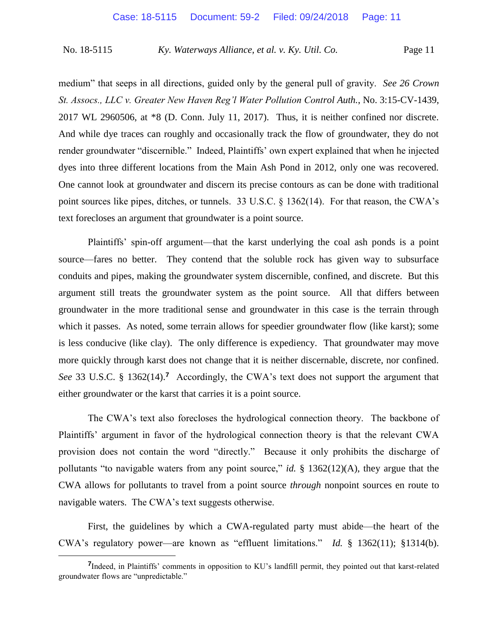medium" that seeps in all directions, guided only by the general pull of gravity. *See 26 Crown St. Assocs., LLC v. Greater New Haven Reg'l Water Pollution Control Auth.*, No. 3:15-CV-1439, 2017 WL 2960506, at \*8 (D. Conn. July 11, 2017). Thus, it is neither confined nor discrete. And while dye traces can roughly and occasionally track the flow of groundwater, they do not render groundwater "discernible." Indeed, Plaintiffs' own expert explained that when he injected dyes into three different locations from the Main Ash Pond in 2012, only one was recovered. One cannot look at groundwater and discern its precise contours as can be done with traditional point sources like pipes, ditches, or tunnels. 33 U.S.C. § 1362(14). For that reason, the CWA's text forecloses an argument that groundwater is a point source.

Plaintiffs' spin-off argument—that the karst underlying the coal ash ponds is a point source—fares no better. They contend that the soluble rock has given way to subsurface conduits and pipes, making the groundwater system discernible, confined, and discrete. But this argument still treats the groundwater system as the point source. All that differs between groundwater in the more traditional sense and groundwater in this case is the terrain through which it passes. As noted, some terrain allows for speedier groundwater flow (like karst); some is less conducive (like clay). The only difference is expediency. That groundwater may move more quickly through karst does not change that it is neither discernable, discrete, nor confined. See 33 U.S.C. § 1362(14).<sup>7</sup> Accordingly, the CWA's text does not support the argument that either groundwater or the karst that carries it is a point source.

The CWA's text also forecloses the hydrological connection theory. The backbone of Plaintiffs' argument in favor of the hydrological connection theory is that the relevant CWA provision does not contain the word "directly." Because it only prohibits the discharge of pollutants "to navigable waters from any point source," *id.* § 1362(12)(A), they argue that the CWA allows for pollutants to travel from a point source *through* nonpoint sources en route to navigable waters. The CWA's text suggests otherwise.

First, the guidelines by which a CWA-regulated party must abide—the heart of the CWA's regulatory power—are known as "effluent limitations." *Id.* § 1362(11); §1314(b).

<sup>&</sup>lt;sup>7</sup>Indeed, in Plaintiffs' comments in opposition to KU's landfill permit, they pointed out that karst-related groundwater flows are "unpredictable."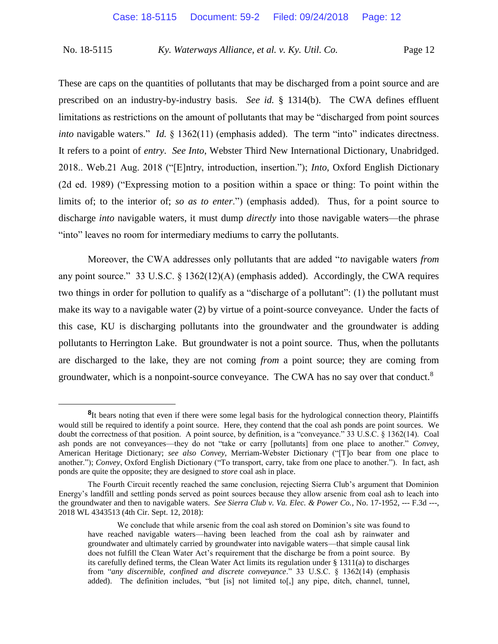These are caps on the quantities of pollutants that may be discharged from a point source and are prescribed on an industry-by-industry basis. *See id.* § 1314(b). The CWA defines effluent limitations as restrictions on the amount of pollutants that may be "discharged from point sources *into* navigable waters." *Id.* § 1362(11) (emphasis added). The term "into" indicates directness. It refers to a point of *entry*. *See Into*, Webster Third New International Dictionary, Unabridged. 2018.. Web.21 Aug. 2018 ("[E]ntry, introduction, insertion."); *Into*, Oxford English Dictionary (2d ed. 1989) ("Expressing motion to a position within a space or thing: To point within the limits of; to the interior of; *so as to enter*.") (emphasis added). Thus, for a point source to discharge *into* navigable waters, it must dump *directly* into those navigable waters—the phrase "into" leaves no room for intermediary mediums to carry the pollutants.

Moreover, the CWA addresses only pollutants that are added "*to* navigable waters *from* any point source." 33 U.S.C.  $\S$  1362(12)(A) (emphasis added). Accordingly, the CWA requires two things in order for pollution to qualify as a "discharge of a pollutant": (1) the pollutant must make its way to a navigable water (2) by virtue of a point-source conveyance. Under the facts of this case, KU is discharging pollutants into the groundwater and the groundwater is adding pollutants to Herrington Lake. But groundwater is not a point source. Thus, when the pollutants are discharged to the lake, they are not coming *from* a point source; they are coming from groundwater, which is a nonpoint-source conveyance. The CWA has no say over that conduct.<sup>8</sup>

<sup>&</sup>lt;sup>8</sup>It bears noting that even if there were some legal basis for the hydrological connection theory, Plaintiffs would still be required to identify a point source. Here, they contend that the coal ash ponds are point sources. We doubt the correctness of that position. A point source, by definition, is a "conveyance." 33 U.S.C. § 1362(14). Coal ash ponds are not conveyances—they do not "take or carry [pollutants] from one place to another." *Convey*, American Heritage Dictionary; *see also Convey*, Merriam-Webster Dictionary ("[T]o bear from one place to another."); *Convey*, Oxford English Dictionary ("To transport, carry, take from one place to another."). In fact, ash ponds are quite the opposite; they are designed to *store* coal ash in place.

The Fourth Circuit recently reached the same conclusion, rejecting Sierra Club's argument that Dominion Energy's landfill and settling ponds served as point sources because they allow arsenic from coal ash to leach into the groundwater and then to navigable waters. *See Sierra Club v. Va. Elec. & Power Co.*, No. 17-1952, --- F.3d ---, 2018 WL 4343513 (4th Cir. Sept. 12, 2018):

We conclude that while arsenic from the coal ash stored on Dominion's site was found to have reached navigable waters—having been leached from the coal ash by rainwater and groundwater and ultimately carried by groundwater into navigable waters—that simple causal link does not fulfill the Clean Water Act's requirement that the discharge be from a point source. By its carefully defined terms, the Clean Water Act limits its regulation under  $\S$  1311(a) to discharges from "*any discernible, confined and discrete conveyance*." 33 U.S.C. § 1362(14) (emphasis added). The definition includes, "but [is] not limited to[,] any pipe, ditch, channel, tunnel,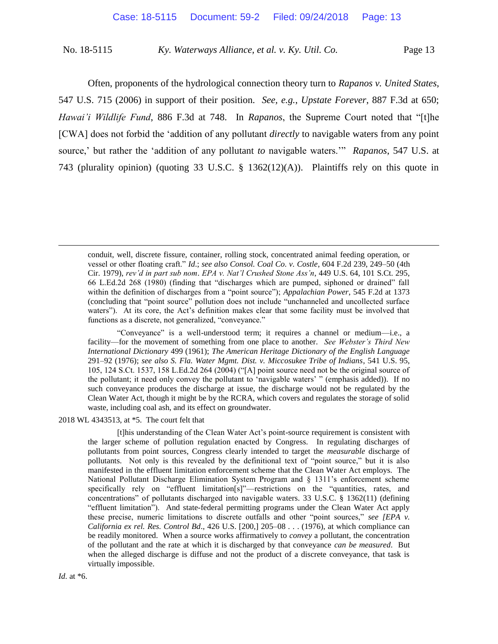Often, proponents of the hydrological connection theory turn to *Rapanos v. United States*, 547 U.S. 715 (2006) in support of their position. *See, e.g.*, *Upstate Forever*, 887 F.3d at 650; *Hawai'i Wildlife Fund*, 886 F.3d at 748. In *Rapanos*, the Supreme Court noted that "[t]he [CWA] does not forbid the 'addition of any pollutant *directly* to navigable waters from any point source,' but rather the 'addition of any pollutant *to* navigable waters.'" *Rapanos*, 547 U.S. at 743 (plurality opinion) (quoting 33 U.S.C. § 1362(12)(A)). Plaintiffs rely on this quote in

"Conveyance" is a well-understood term; it requires a channel or medium—i.e., a facility—for the movement of something from one place to another. *See Webster's Third New International Dictionary* 499 (1961); *The American Heritage Dictionary of the English Language* 291–92 (1976); *see also S. Fla. Water Mgmt. Dist. v. Miccosukee Tribe of Indians*, 541 U.S. 95, 105, 124 S.Ct. 1537, 158 L.Ed.2d 264 (2004) ("[A] point source need not be the original source of the pollutant; it need only convey the pollutant to 'navigable waters' " (emphasis added)). If no such conveyance produces the discharge at issue, the discharge would not be regulated by the Clean Water Act, though it might be by the RCRA, which covers and regulates the storage of solid waste, including coal ash, and its effect on groundwater.

2018 WL 4343513, at \*5. The court felt that

[t]his understanding of the Clean Water Act's point-source requirement is consistent with the larger scheme of pollution regulation enacted by Congress. In regulating discharges of pollutants from point sources, Congress clearly intended to target the *measurable* discharge of pollutants. Not only is this revealed by the definitional text of "point source," but it is also manifested in the effluent limitation enforcement scheme that the Clean Water Act employs. The National Pollutant Discharge Elimination System Program and § 1311's enforcement scheme specifically rely on "effluent limitation[s]"—restrictions on the "quantities, rates, and concentrations" of pollutants discharged into navigable waters. 33 U.S.C. § 1362(11) (defining "effluent limitation"). And state-federal permitting programs under the Clean Water Act apply these precise, numeric limitations to discrete outfalls and other "point sources," *see [EPA v. California ex rel. Res. Control Bd*., 426 U.S. [200,] 205–08 . . . (1976), at which compliance can be readily monitored. When a source works affirmatively to *convey* a pollutant, the concentration of the pollutant and the rate at which it is discharged by that conveyance *can be measured*. But when the alleged discharge is diffuse and not the product of a discrete conveyance, that task is virtually impossible.

conduit, well, discrete fissure, container, rolling stock, concentrated animal feeding operation, or vessel or other floating craft." *Id*.; *see also Consol. Coal Co. v. Costle*, 604 F.2d 239, 249–50 (4th Cir. 1979), *rev'd in part sub nom*. *EPA v. Nat'l Crushed Stone Ass'n*, 449 U.S. 64, 101 S.Ct. 295, 66 L.Ed.2d 268 (1980) (finding that "discharges which are pumped, siphoned or drained" fall within the definition of discharges from a "point source"); *Appalachian Power*, 545 F.2d at 1373 (concluding that "point source" pollution does not include "unchanneled and uncollected surface waters"). At its core, the Act's definition makes clear that some facility must be involved that functions as a discrete, not generalized, "conveyance."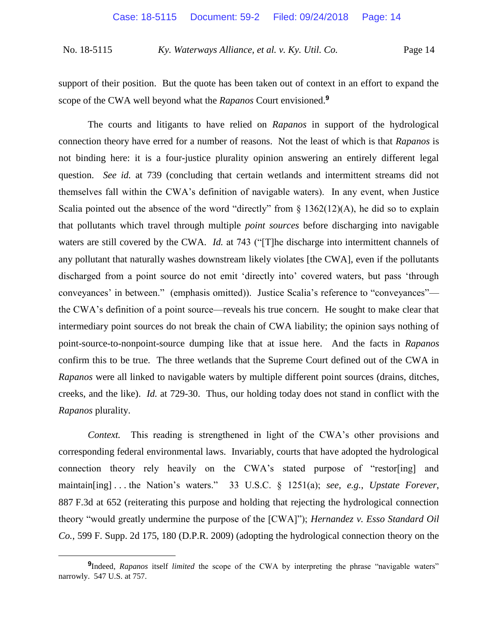support of their position. But the quote has been taken out of context in an effort to expand the scope of the CWA well beyond what the *Rapanos* Court envisioned.**<sup>9</sup>**

The courts and litigants to have relied on *Rapanos* in support of the hydrological connection theory have erred for a number of reasons. Not the least of which is that *Rapanos* is not binding here: it is a four-justice plurality opinion answering an entirely different legal question. *See id.* at 739 (concluding that certain wetlands and intermittent streams did not themselves fall within the CWA's definition of navigable waters). In any event, when Justice Scalia pointed out the absence of the word "directly" from  $\S$  1362(12)(A), he did so to explain that pollutants which travel through multiple *point sources* before discharging into navigable waters are still covered by the CWA. *Id.* at 743 ("The discharge into intermittent channels of any pollutant that naturally washes downstream likely violates [the CWA], even if the pollutants discharged from a point source do not emit 'directly into' covered waters, but pass 'through conveyances' in between." (emphasis omitted)). Justice Scalia's reference to "conveyances" the CWA's definition of a point source—reveals his true concern. He sought to make clear that intermediary point sources do not break the chain of CWA liability; the opinion says nothing of point-source-to-nonpoint-source dumping like that at issue here. And the facts in *Rapanos* confirm this to be true. The three wetlands that the Supreme Court defined out of the CWA in *Rapanos* were all linked to navigable waters by multiple different point sources (drains, ditches, creeks, and the like). *Id.* at 729-30. Thus, our holding today does not stand in conflict with the *Rapanos* plurality.

*Context.* This reading is strengthened in light of the CWA's other provisions and corresponding federal environmental laws. Invariably, courts that have adopted the hydrological connection theory rely heavily on the CWA's stated purpose of "restor[ing] and maintain[ing] . . . the Nation's waters." 33 U.S.C. § 1251(a); *see, e.g.*, *Upstate Forever*, 887 F.3d at 652 (reiterating this purpose and holding that rejecting the hydrological connection theory "would greatly undermine the purpose of the [CWA]"); *Hernandez v. Esso Standard Oil Co.*, 599 F. Supp. 2d 175, 180 (D.P.R. 2009) (adopting the hydrological connection theory on the

**<sup>9</sup>** Indeed, *Rapanos* itself *limited* the scope of the CWA by interpreting the phrase "navigable waters" narrowly. 547 U.S. at 757.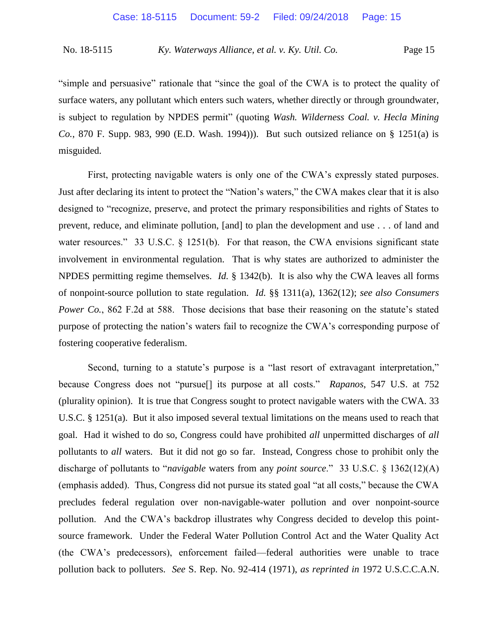"simple and persuasive" rationale that "since the goal of the CWA is to protect the quality of surface waters, any pollutant which enters such waters, whether directly or through groundwater, is subject to regulation by NPDES permit" (quoting *Wash. Wilderness Coal. v. Hecla Mining Co.*, 870 F. Supp. 983, 990 (E.D. Wash. 1994))). But such outsized reliance on § 1251(a) is misguided.

First, protecting navigable waters is only one of the CWA's expressly stated purposes. Just after declaring its intent to protect the "Nation's waters," the CWA makes clear that it is also designed to "recognize, preserve, and protect the primary responsibilities and rights of States to prevent, reduce, and eliminate pollution, [and] to plan the development and use . . . of land and water resources." 33 U.S.C. § 1251(b). For that reason, the CWA envisions significant state involvement in environmental regulation. That is why states are authorized to administer the NPDES permitting regime themselves. *Id.* § 1342(b). It is also why the CWA leaves all forms of nonpoint-source pollution to state regulation. *Id.* §§ 1311(a), 1362(12); *see also Consumers Power Co.*, 862 F.2d at 588. Those decisions that base their reasoning on the statute's stated purpose of protecting the nation's waters fail to recognize the CWA's corresponding purpose of fostering cooperative federalism.

Second, turning to a statute's purpose is a "last resort of extravagant interpretation," because Congress does not "pursue[] its purpose at all costs." *Rapanos*, 547 U.S. at 752 (plurality opinion). It is true that Congress sought to protect navigable waters with the CWA. 33 U.S.C. § 1251(a). But it also imposed several textual limitations on the means used to reach that goal. Had it wished to do so, Congress could have prohibited *all* unpermitted discharges of *all* pollutants to *all* waters. But it did not go so far. Instead, Congress chose to prohibit only the discharge of pollutants to "*navigable* waters from any *point source*." 33 U.S.C. § 1362(12)(A) (emphasis added). Thus, Congress did not pursue its stated goal "at all costs," because the CWA precludes federal regulation over non-navigable-water pollution and over nonpoint-source pollution. And the CWA's backdrop illustrates why Congress decided to develop this pointsource framework. Under the Federal Water Pollution Control Act and the Water Quality Act (the CWA's predecessors), enforcement failed—federal authorities were unable to trace pollution back to polluters. *See* S. Rep. No. 92-414 (1971), *as reprinted in* 1972 U.S.C.C.A.N.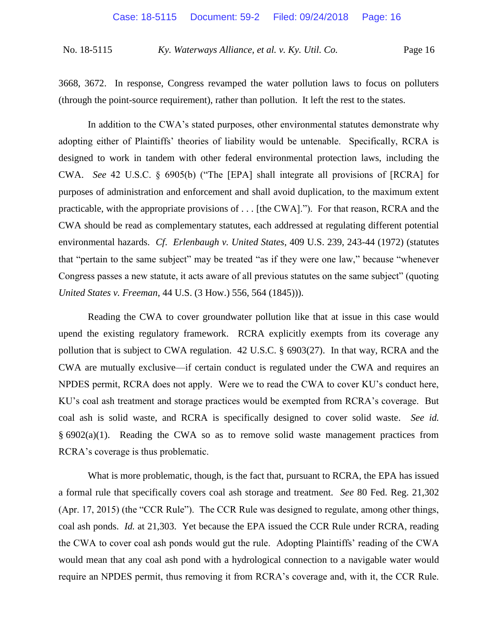3668, 3672. In response, Congress revamped the water pollution laws to focus on polluters (through the point-source requirement), rather than pollution. It left the rest to the states.

In addition to the CWA's stated purposes, other environmental statutes demonstrate why adopting either of Plaintiffs' theories of liability would be untenable. Specifically, RCRA is designed to work in tandem with other federal environmental protection laws, including the CWA. *See* 42 U.S.C. § 6905(b) ("The [EPA] shall integrate all provisions of [RCRA] for purposes of administration and enforcement and shall avoid duplication, to the maximum extent practicable, with the appropriate provisions of . . . [the CWA]."). For that reason, RCRA and the CWA should be read as complementary statutes, each addressed at regulating different potential environmental hazards. *Cf*. *Erlenbaugh v. United States*, 409 U.S. 239, 243-44 (1972) (statutes that "pertain to the same subject" may be treated "as if they were one law," because "whenever Congress passes a new statute, it acts aware of all previous statutes on the same subject" (quoting *United States v. Freeman*, 44 U.S. (3 How.) 556, 564 (1845))).

Reading the CWA to cover groundwater pollution like that at issue in this case would upend the existing regulatory framework. RCRA explicitly exempts from its coverage any pollution that is subject to CWA regulation. 42 U.S.C. § 6903(27). In that way, RCRA and the CWA are mutually exclusive—if certain conduct is regulated under the CWA and requires an NPDES permit, RCRA does not apply. Were we to read the CWA to cover KU's conduct here, KU's coal ash treatment and storage practices would be exempted from RCRA's coverage. But coal ash is solid waste, and RCRA is specifically designed to cover solid waste. *See id.* § 6902(a)(1). Reading the CWA so as to remove solid waste management practices from RCRA's coverage is thus problematic.

What is more problematic, though, is the fact that, pursuant to RCRA, the EPA has issued a formal rule that specifically covers coal ash storage and treatment. *See* 80 Fed. Reg. 21,302 (Apr. 17, 2015) (the "CCR Rule"). The CCR Rule was designed to regulate, among other things, coal ash ponds. *Id.* at 21,303. Yet because the EPA issued the CCR Rule under RCRA, reading the CWA to cover coal ash ponds would gut the rule. Adopting Plaintiffs' reading of the CWA would mean that any coal ash pond with a hydrological connection to a navigable water would require an NPDES permit, thus removing it from RCRA's coverage and, with it, the CCR Rule.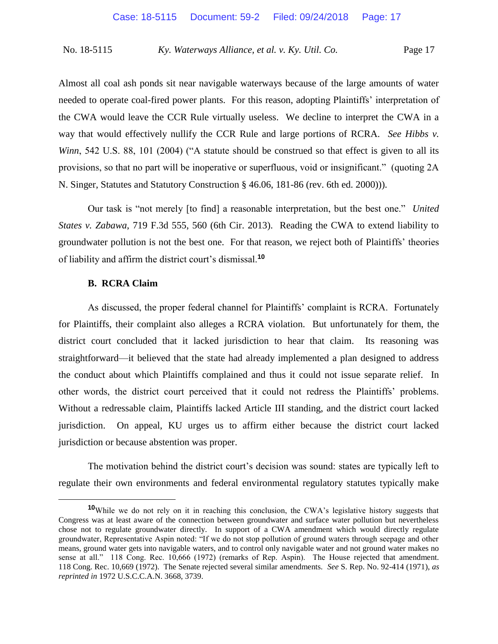Almost all coal ash ponds sit near navigable waterways because of the large amounts of water needed to operate coal-fired power plants. For this reason, adopting Plaintiffs' interpretation of the CWA would leave the CCR Rule virtually useless. We decline to interpret the CWA in a way that would effectively nullify the CCR Rule and large portions of RCRA. *See Hibbs v. Winn*, 542 U.S. 88, 101 (2004) ("A statute should be construed so that effect is given to all its provisions, so that no part will be inoperative or superfluous, void or insignificant." (quoting 2A N. Singer, Statutes and Statutory Construction § 46.06, 181-86 (rev. 6th ed. 2000))).

Our task is "not merely [to find] a reasonable interpretation, but the best one." *United States v. Zabawa*, 719 F.3d 555, 560 (6th Cir. 2013). Reading the CWA to extend liability to groundwater pollution is not the best one. For that reason, we reject both of Plaintiffs' theories of liability and affirm the district court's dismissal.**<sup>10</sup>**

## **B. RCRA Claim**

 $\overline{a}$ 

As discussed, the proper federal channel for Plaintiffs' complaint is RCRA. Fortunately for Plaintiffs, their complaint also alleges a RCRA violation. But unfortunately for them, the district court concluded that it lacked jurisdiction to hear that claim. Its reasoning was straightforward—it believed that the state had already implemented a plan designed to address the conduct about which Plaintiffs complained and thus it could not issue separate relief. In other words, the district court perceived that it could not redress the Plaintiffs' problems. Without a redressable claim, Plaintiffs lacked Article III standing, and the district court lacked jurisdiction. On appeal, KU urges us to affirm either because the district court lacked jurisdiction or because abstention was proper.

The motivation behind the district court's decision was sound: states are typically left to regulate their own environments and federal environmental regulatory statutes typically make

**<sup>10</sup>**While we do not rely on it in reaching this conclusion, the CWA's legislative history suggests that Congress was at least aware of the connection between groundwater and surface water pollution but nevertheless chose not to regulate groundwater directly. In support of a CWA amendment which would directly regulate groundwater, Representative Aspin noted: "If we do not stop pollution of ground waters through seepage and other means, ground water gets into navigable waters, and to control only navigable water and not ground water makes no sense at all." 118 Cong. Rec. 10,666 (1972) (remarks of Rep. Aspin). The House rejected that amendment. 118 Cong. Rec. 10,669 (1972). The Senate rejected several similar amendments. *See* S. Rep. No. 92-414 (1971), *as reprinted in* 1972 U.S.C.C.A.N. 3668, 3739.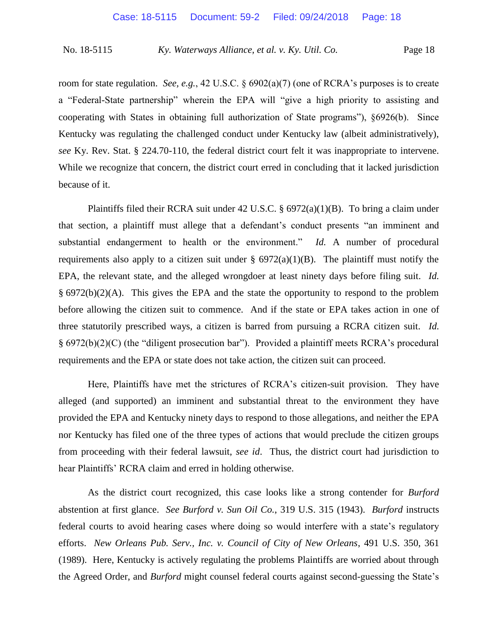room for state regulation. *See, e.g.*, 42 U.S.C. § 6902(a)(7) (one of RCRA's purposes is to create a "Federal-State partnership" wherein the EPA will "give a high priority to assisting and cooperating with States in obtaining full authorization of State programs"), §6926(b). Since Kentucky was regulating the challenged conduct under Kentucky law (albeit administratively), *see* Ky. Rev. Stat. § 224.70-110, the federal district court felt it was inappropriate to intervene. While we recognize that concern, the district court erred in concluding that it lacked jurisdiction because of it.

Plaintiffs filed their RCRA suit under 42 U.S.C. § 6972(a)(1)(B). To bring a claim under that section, a plaintiff must allege that a defendant's conduct presents "an imminent and substantial endangerment to health or the environment." *Id.* A number of procedural requirements also apply to a citizen suit under  $\S$  6972(a)(1)(B). The plaintiff must notify the EPA, the relevant state, and the alleged wrongdoer at least ninety days before filing suit. *Id.* § 6972(b)(2)(A). This gives the EPA and the state the opportunity to respond to the problem before allowing the citizen suit to commence. And if the state or EPA takes action in one of three statutorily prescribed ways, a citizen is barred from pursuing a RCRA citizen suit. *Id.*  § 6972(b)(2)(C) (the "diligent prosecution bar"). Provided a plaintiff meets RCRA's procedural requirements and the EPA or state does not take action, the citizen suit can proceed.

Here, Plaintiffs have met the strictures of RCRA's citizen-suit provision. They have alleged (and supported) an imminent and substantial threat to the environment they have provided the EPA and Kentucky ninety days to respond to those allegations, and neither the EPA nor Kentucky has filed one of the three types of actions that would preclude the citizen groups from proceeding with their federal lawsuit, *see id*. Thus, the district court had jurisdiction to hear Plaintiffs' RCRA claim and erred in holding otherwise.

As the district court recognized, this case looks like a strong contender for *Burford*  abstention at first glance. *See Burford v. Sun Oil Co.*, 319 U.S. 315 (1943). *Burford* instructs federal courts to avoid hearing cases where doing so would interfere with a state's regulatory efforts. *New Orleans Pub. Serv., Inc. v. Council of City of New Orleans*, 491 U.S. 350, 361 (1989). Here, Kentucky is actively regulating the problems Plaintiffs are worried about through the Agreed Order, and *Burford* might counsel federal courts against second-guessing the State's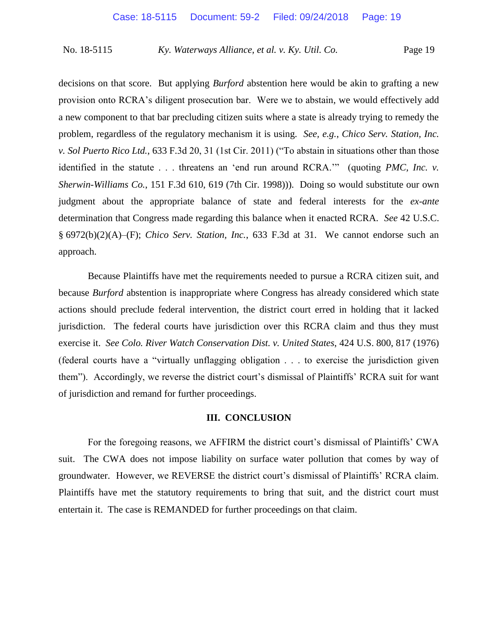decisions on that score. But applying *Burford* abstention here would be akin to grafting a new provision onto RCRA's diligent prosecution bar. Were we to abstain, we would effectively add a new component to that bar precluding citizen suits where a state is already trying to remedy the problem, regardless of the regulatory mechanism it is using. *See, e.g.*, *Chico Serv. Station, Inc. v. Sol Puerto Rico Ltd.*, 633 F.3d 20, 31 (1st Cir. 2011) ("To abstain in situations other than those identified in the statute . . . threatens an 'end run around RCRA.'" (quoting *PMC, Inc. v. Sherwin-Williams Co.*, 151 F.3d 610, 619 (7th Cir. 1998))). Doing so would substitute our own judgment about the appropriate balance of state and federal interests for the *ex-ante*  determination that Congress made regarding this balance when it enacted RCRA. *See* 42 U.S.C. § 6972(b)(2)(A)–(F); *Chico Serv. Station, Inc.*, 633 F.3d at 31. We cannot endorse such an approach.

Because Plaintiffs have met the requirements needed to pursue a RCRA citizen suit, and because *Burford* abstention is inappropriate where Congress has already considered which state actions should preclude federal intervention, the district court erred in holding that it lacked jurisdiction. The federal courts have jurisdiction over this RCRA claim and thus they must exercise it. *See Colo. River Watch Conservation Dist. v. United States*, 424 U.S. 800, 817 (1976) (federal courts have a "virtually unflagging obligation . . . to exercise the jurisdiction given them"). Accordingly, we reverse the district court's dismissal of Plaintiffs' RCRA suit for want of jurisdiction and remand for further proceedings.

## **III. CONCLUSION**

For the foregoing reasons, we AFFIRM the district court's dismissal of Plaintiffs' CWA suit. The CWA does not impose liability on surface water pollution that comes by way of groundwater. However, we REVERSE the district court's dismissal of Plaintiffs' RCRA claim. Plaintiffs have met the statutory requirements to bring that suit, and the district court must entertain it. The case is REMANDED for further proceedings on that claim.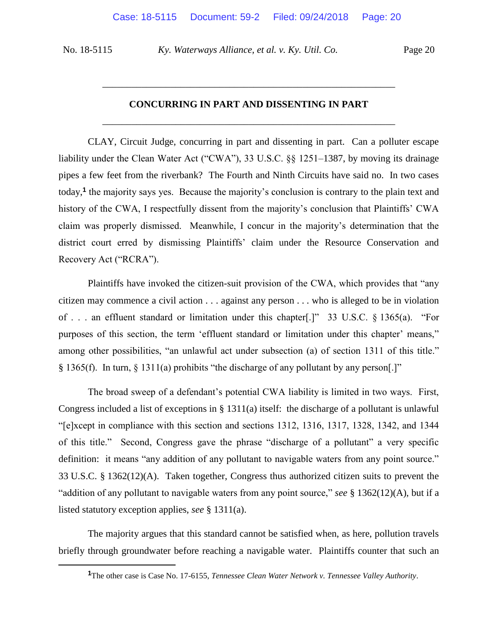$\overline{a}$ 

No. 18-5115 *Ky. Waterways Alliance, et al. v. Ky. Util. Co.* Page 20

# **CONCURRING IN PART AND DISSENTING IN PART** \_\_\_\_\_\_\_\_\_\_\_\_\_\_\_\_\_\_\_\_\_\_\_\_\_\_\_\_\_\_\_\_\_\_\_\_\_\_\_\_\_\_\_\_\_\_\_\_\_\_\_\_\_\_\_\_\_\_\_\_

\_\_\_\_\_\_\_\_\_\_\_\_\_\_\_\_\_\_\_\_\_\_\_\_\_\_\_\_\_\_\_\_\_\_\_\_\_\_\_\_\_\_\_\_\_\_\_\_\_\_\_\_\_\_\_\_\_\_\_\_

CLAY, Circuit Judge, concurring in part and dissenting in part. Can a polluter escape liability under the Clean Water Act ("CWA"), 33 U.S.C. §§ 1251–1387, by moving its drainage pipes a few feet from the riverbank? The Fourth and Ninth Circuits have said no. In two cases today,**<sup>1</sup>** the majority says yes. Because the majority's conclusion is contrary to the plain text and history of the CWA, I respectfully dissent from the majority's conclusion that Plaintiffs' CWA claim was properly dismissed. Meanwhile, I concur in the majority's determination that the district court erred by dismissing Plaintiffs' claim under the Resource Conservation and Recovery Act ("RCRA").

Plaintiffs have invoked the citizen-suit provision of the CWA, which provides that "any citizen may commence a civil action . . . against any person . . . who is alleged to be in violation of . . . an effluent standard or limitation under this chapter[.]" 33 U.S.C. § 1365(a). "For purposes of this section, the term 'effluent standard or limitation under this chapter' means," among other possibilities, "an unlawful act under subsection (a) of section 1311 of this title." § 1365(f). In turn, § 1311(a) prohibits "the discharge of any pollutant by any person[.]"

The broad sweep of a defendant's potential CWA liability is limited in two ways. First, Congress included a list of exceptions in § 1311(a) itself: the discharge of a pollutant is unlawful "[e]xcept in compliance with this section and sections 1312, 1316, 1317, 1328, 1342, and 1344 of this title." Second, Congress gave the phrase "discharge of a pollutant" a very specific definition: it means "any addition of any pollutant to navigable waters from any point source." 33 U.S.C. § 1362(12)(A). Taken together, Congress thus authorized citizen suits to prevent the "addition of any pollutant to navigable waters from any point source," *see* § 1362(12)(A), but if a listed statutory exception applies, *see* § 1311(a).

The majority argues that this standard cannot be satisfied when, as here, pollution travels briefly through groundwater before reaching a navigable water. Plaintiffs counter that such an

**<sup>1</sup>**The other case is Case No. 17-6155, *Tennessee Clean Water Network v. Tennessee Valley Authority*.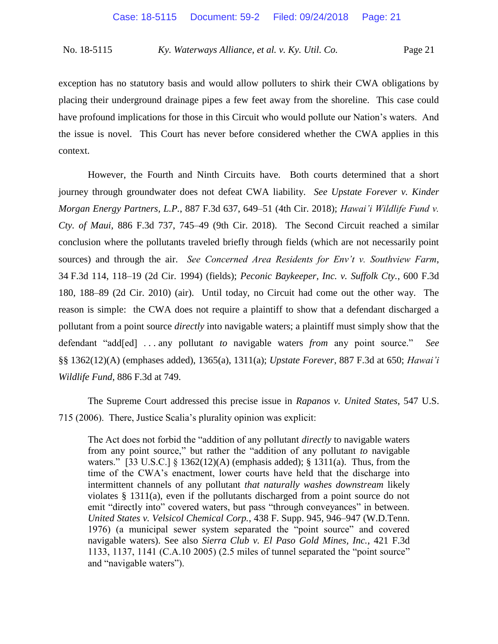exception has no statutory basis and would allow polluters to shirk their CWA obligations by placing their underground drainage pipes a few feet away from the shoreline. This case could have profound implications for those in this Circuit who would pollute our Nation's waters. And the issue is novel. This Court has never before considered whether the CWA applies in this context.

However, the Fourth and Ninth Circuits have. Both courts determined that a short journey through groundwater does not defeat CWA liability. *See Upstate Forever v. Kinder Morgan Energy Partners, L.P.*, 887 F.3d 637, 649–51 (4th Cir. 2018); *Hawai'i Wildlife Fund v. Cty. of Maui*, 886 F.3d 737, 745–49 (9th Cir. 2018). The Second Circuit reached a similar conclusion where the pollutants traveled briefly through fields (which are not necessarily point sources) and through the air. *See Concerned Area Residents for Env't v. Southview Farm*, 34 F.3d 114, 118–19 (2d Cir. 1994) (fields); *Peconic Baykeeper, Inc. v. Suffolk Cty.*, 600 F.3d 180, 188–89 (2d Cir. 2010) (air). Until today, no Circuit had come out the other way. The reason is simple: the CWA does not require a plaintiff to show that a defendant discharged a pollutant from a point source *directly* into navigable waters; a plaintiff must simply show that the defendant "add[ed] . . . any pollutant *to* navigable waters *from* any point source." *See* §§ 1362(12)(A) (emphases added), 1365(a), 1311(a); *Upstate Forever*, 887 F.3d at 650; *Hawai'i Wildlife Fund*, 886 F.3d at 749.

The Supreme Court addressed this precise issue in *Rapanos v. United States*, 547 U.S. 715 (2006). There, Justice Scalia's plurality opinion was explicit:

The Act does not forbid the "addition of any pollutant *directly* to navigable waters from any point source," but rather the "addition of any pollutant *to* navigable waters." [33 U.S.C.]  $\{ 1362(12)(A)$  (emphasis added);  $\{ 1311(a)$ . Thus, from the time of the CWA's enactment, lower courts have held that the discharge into intermittent channels of any pollutant *that naturally washes downstream* likely violates § 1311(a), even if the pollutants discharged from a point source do not emit "directly into" covered waters, but pass "through conveyances" in between. *United States v. Velsicol Chemical Corp.*, 438 F. Supp. 945, 946–947 (W.D.Tenn. 1976) (a municipal sewer system separated the "point source" and covered navigable waters). See also *Sierra Club v. El Paso Gold Mines, Inc.*, 421 F.3d 1133, 1137, 1141 (C.A.10 2005) (2.5 miles of tunnel separated the "point source" and "navigable waters").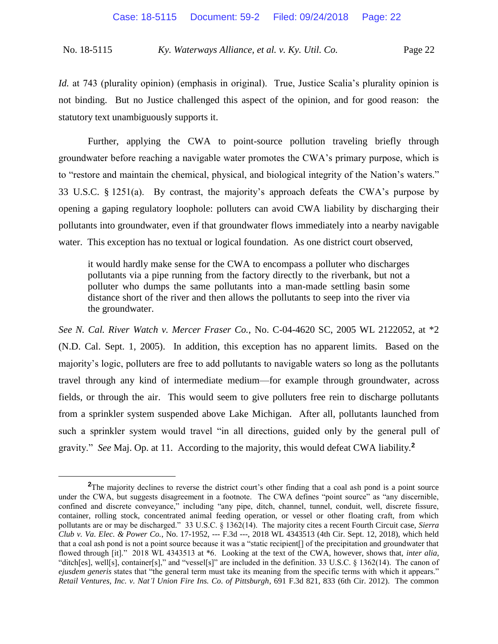*Id.* at 743 (plurality opinion) (emphasis in original). True, Justice Scalia's plurality opinion is not binding. But no Justice challenged this aspect of the opinion, and for good reason: the statutory text unambiguously supports it.

Further, applying the CWA to point-source pollution traveling briefly through groundwater before reaching a navigable water promotes the CWA's primary purpose, which is to "restore and maintain the chemical, physical, and biological integrity of the Nation's waters." 33 U.S.C. § 1251(a). By contrast, the majority's approach defeats the CWA's purpose by opening a gaping regulatory loophole: polluters can avoid CWA liability by discharging their pollutants into groundwater, even if that groundwater flows immediately into a nearby navigable water. This exception has no textual or logical foundation. As one district court observed,

it would hardly make sense for the CWA to encompass a polluter who discharges pollutants via a pipe running from the factory directly to the riverbank, but not a polluter who dumps the same pollutants into a man-made settling basin some distance short of the river and then allows the pollutants to seep into the river via the groundwater.

*See N. Cal. River Watch v. Mercer Fraser Co.*, No. C-04-4620 SC, 2005 WL 2122052, at \*2 (N.D. Cal. Sept. 1, 2005). In addition, this exception has no apparent limits. Based on the majority's logic, polluters are free to add pollutants to navigable waters so long as the pollutants travel through any kind of intermediate medium—for example through groundwater, across fields, or through the air. This would seem to give polluters free rein to discharge pollutants from a sprinkler system suspended above Lake Michigan. After all, pollutants launched from such a sprinkler system would travel "in all directions, guided only by the general pull of gravity." *See* Maj. Op. at 11. According to the majority, this would defeat CWA liability.**<sup>2</sup>**

**<sup>2</sup>**The majority declines to reverse the district court's other finding that a coal ash pond is a point source under the CWA, but suggests disagreement in a footnote. The CWA defines "point source" as "any discernible, confined and discrete conveyance," including "any pipe, ditch, channel, tunnel, conduit, well, discrete fissure, container, rolling stock, concentrated animal feeding operation, or vessel or other floating craft, from which pollutants are or may be discharged." 33 U.S.C. § 1362(14). The majority cites a recent Fourth Circuit case, *Sierra Club v. Va. Elec. & Power Co.*, No. 17-1952, --- F.3d ---, 2018 WL 4343513 (4th Cir. Sept. 12, 2018), which held that a coal ash pond is not a point source because it was a "static recipient[] of the precipitation and groundwater that flowed through [it]." 2018 WL 4343513 at \*6. Looking at the text of the CWA, however, shows that, *inter alia*, "ditch[es], well[s], container[s]," and "vessel[s]" are included in the definition. 33 U.S.C. § 1362(14). The canon of *ejusdem generis* states that "the general term must take its meaning from the specific terms with which it appears." *Retail Ventures, Inc. v. Nat'l Union Fire Ins. Co. of Pittsburgh*, 691 F.3d 821, 833 (6th Cir. 2012). The common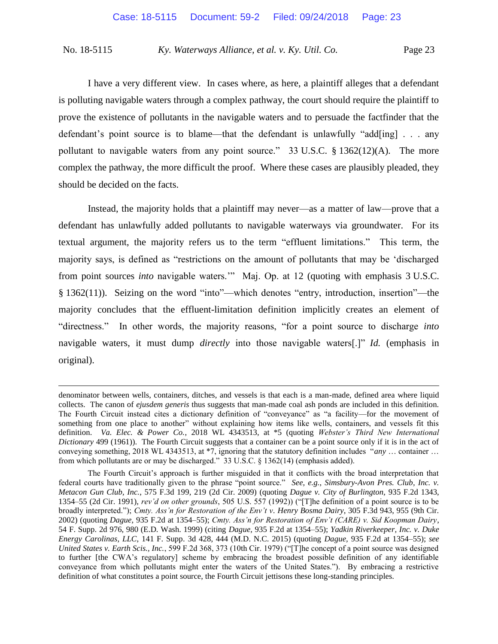I have a very different view. In cases where, as here, a plaintiff alleges that a defendant is polluting navigable waters through a complex pathway, the court should require the plaintiff to prove the existence of pollutants in the navigable waters and to persuade the factfinder that the defendant's point source is to blame—that the defendant is unlawfully "add[ing] . . . any pollutant to navigable waters from any point source." 33 U.S.C. § 1362(12)(A). The more complex the pathway, the more difficult the proof. Where these cases are plausibly pleaded, they should be decided on the facts.

Instead, the majority holds that a plaintiff may never—as a matter of law—prove that a defendant has unlawfully added pollutants to navigable waterways via groundwater. For its textual argument, the majority refers us to the term "effluent limitations." This term, the majority says, is defined as "restrictions on the amount of pollutants that may be 'discharged from point sources *into* navigable waters.'" Maj. Op. at 12 (quoting with emphasis 3 U.S.C. § 1362(11)). Seizing on the word "into"—which denotes "entry, introduction, insertion"—the majority concludes that the effluent-limitation definition implicitly creates an element of "directness." In other words, the majority reasons, "for a point source to discharge *into*  navigable waters, it must dump *directly* into those navigable waters[.]" *Id.* (emphasis in original).

denominator between wells, containers, ditches, and vessels is that each is a man-made, defined area where liquid collects. The canon of *ejusdem generis* thus suggests that man-made coal ash ponds are included in this definition. The Fourth Circuit instead cites a dictionary definition of "conveyance" as "a facility—for the movement of something from one place to another" without explaining how items like wells, containers, and vessels fit this definition. *Va. Elec. & Power Co.*, 2018 WL 4343513, at \*5 (quoting *Webster's Third New International Dictionary* 499 (1961)). The Fourth Circuit suggests that a container can be a point source only if it is in the act of conveying something, 2018 WL 4343513, at \*7, ignoring that the statutory definition includes "*any* … container … from which pollutants are or may be discharged." 33 U.S.C. § 1362(14) (emphasis added).

The Fourth Circuit's approach is further misguided in that it conflicts with the broad interpretation that federal courts have traditionally given to the phrase "point source." *See, e.g.*, *Simsbury-Avon Pres. Club, Inc. v. Metacon Gun Club, Inc.*, 575 F.3d 199, 219 (2d Cir. 2009) (quoting *Dague v. City of Burlington,* 935 F.2d 1343, 1354–55 (2d Cir. 1991), *rev'd on other grounds*, 505 U.S. 557 (1992)) ("[T]he definition of a point source is to be broadly interpreted."); *Cmty. Ass'n for Restoration of the Env't v. Henry Bosma Dairy*, 305 F.3d 943, 955 (9th Cir. 2002) (quoting *Dague,* 935 F.2d at 1354–55); *Cmty. Ass'n for Restoration of Env't (CARE) v. Sid Koopman Dairy*, 54 F. Supp. 2d 976, 980 (E.D. Wash. 1999) (citing *Dague,* 935 F.2d at 1354–55); *Yadkin Riverkeeper, Inc. v. Duke Energy Carolinas, LLC*, 141 F. Supp. 3d 428, 444 (M.D. N.C. 2015) (quoting *Dague,* 935 F.2d at 1354–55); *see United States v. Earth Scis., Inc.*, 599 F.2d 368, 373 (10th Cir. 1979) ("[T]he concept of a point source was designed to further [the CWA's regulatory] scheme by embracing the broadest possible definition of any identifiable conveyance from which pollutants might enter the waters of the United States."). By embracing a restrictive definition of what constitutes a point source, the Fourth Circuit jettisons these long-standing principles.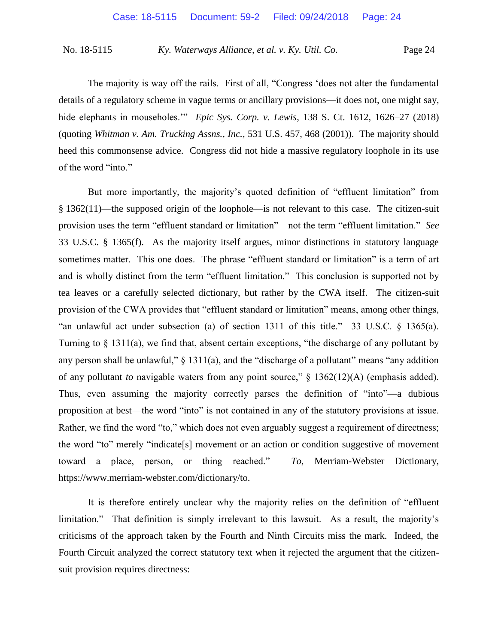The majority is way off the rails. First of all, "Congress 'does not alter the fundamental details of a regulatory scheme in vague terms or ancillary provisions—it does not, one might say, hide elephants in mouseholes." *Epic Sys. Corp. v. Lewis*, 138 S. Ct. 1612, 1626–27 (2018) (quoting *Whitman v. Am. Trucking Assns., Inc.*, 531 U.S. 457, 468 (2001)). The majority should heed this commonsense advice. Congress did not hide a massive regulatory loophole in its use of the word "into."

But more importantly, the majority's quoted definition of "effluent limitation" from § 1362(11)—the supposed origin of the loophole—is not relevant to this case. The citizen-suit provision uses the term "effluent standard or limitation"—not the term "effluent limitation." *See* 33 U.S.C. § 1365(f). As the majority itself argues, minor distinctions in statutory language sometimes matter. This one does. The phrase "effluent standard or limitation" is a term of art and is wholly distinct from the term "effluent limitation." This conclusion is supported not by tea leaves or a carefully selected dictionary, but rather by the CWA itself. The citizen-suit provision of the CWA provides that "effluent standard or limitation" means, among other things, "an unlawful act under subsection (a) of section 1311 of this title." 33 U.S.C. § 1365(a). Turning to § 1311(a), we find that, absent certain exceptions, "the discharge of any pollutant by any person shall be unlawful,"  $\S$  1311(a), and the "discharge of a pollutant" means "any addition of any pollutant *to* navigable waters from any point source," § 1362(12)(A) (emphasis added). Thus, even assuming the majority correctly parses the definition of "into"—a dubious proposition at best—the word "into" is not contained in any of the statutory provisions at issue. Rather, we find the word "to," which does not even arguably suggest a requirement of directness; the word "to" merely "indicate[s] movement or an action or condition suggestive of movement toward a place, person, or thing reached." *To*, Merriam-Webster Dictionary, https://www.merriam-webster.com/dictionary/to.

It is therefore entirely unclear why the majority relies on the definition of "effluent limitation." That definition is simply irrelevant to this lawsuit. As a result, the majority's criticisms of the approach taken by the Fourth and Ninth Circuits miss the mark. Indeed, the Fourth Circuit analyzed the correct statutory text when it rejected the argument that the citizensuit provision requires directness: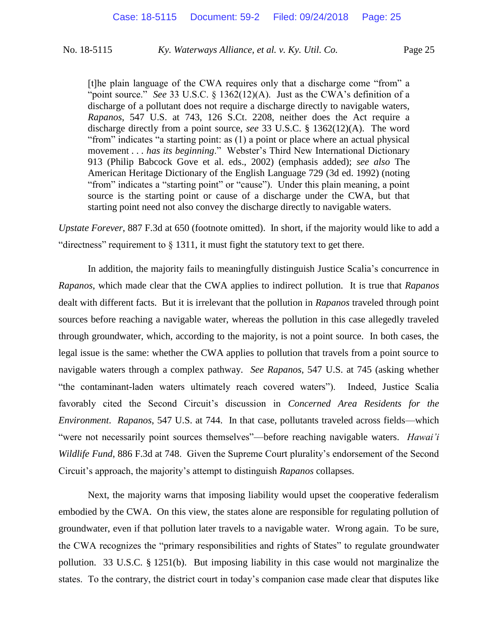[t]he plain language of the CWA requires only that a discharge come "from" a "point source." *See* 33 U.S.C. § 1362(12)(A). Just as the CWA's definition of a discharge of a pollutant does not require a discharge directly to navigable waters, *Rapanos*, 547 U.S. at 743, 126 S.Ct. 2208, neither does the Act require a discharge directly from a point source, *see* 33 U.S.C. § 1362(12)(A). The word "from" indicates "a starting point: as (1) a point or place where an actual physical movement . . . *has its beginning*." Webster's Third New International Dictionary 913 (Philip Babcock Gove et al. eds., 2002) (emphasis added); *see also* The American Heritage Dictionary of the English Language 729 (3d ed. 1992) (noting "from" indicates a "starting point" or "cause"). Under this plain meaning, a point source is the starting point or cause of a discharge under the CWA, but that starting point need not also convey the discharge directly to navigable waters.

*Upstate Forever*, 887 F.3d at 650 (footnote omitted). In short, if the majority would like to add a "directness" requirement to  $\S$  1311, it must fight the statutory text to get there.

In addition, the majority fails to meaningfully distinguish Justice Scalia's concurrence in *Rapanos*, which made clear that the CWA applies to indirect pollution. It is true that *Rapanos*  dealt with different facts. But it is irrelevant that the pollution in *Rapanos* traveled through point sources before reaching a navigable water, whereas the pollution in this case allegedly traveled through groundwater, which, according to the majority, is not a point source. In both cases, the legal issue is the same: whether the CWA applies to pollution that travels from a point source to navigable waters through a complex pathway. *See Rapanos*, 547 U.S. at 745 (asking whether "the contaminant-laden waters ultimately reach covered waters"). Indeed, Justice Scalia favorably cited the Second Circuit's discussion in *Concerned Area Residents for the Environment*. *Rapanos*, 547 U.S. at 744. In that case, pollutants traveled across fields—which "were not necessarily point sources themselves"—before reaching navigable waters. *Hawai'i Wildlife Fund*, 886 F.3d at 748. Given the Supreme Court plurality's endorsement of the Second Circuit's approach, the majority's attempt to distinguish *Rapanos* collapses.

Next, the majority warns that imposing liability would upset the cooperative federalism embodied by the CWA. On this view, the states alone are responsible for regulating pollution of groundwater, even if that pollution later travels to a navigable water. Wrong again. To be sure, the CWA recognizes the "primary responsibilities and rights of States" to regulate groundwater pollution. 33 U.S.C. § 1251(b). But imposing liability in this case would not marginalize the states. To the contrary, the district court in today's companion case made clear that disputes like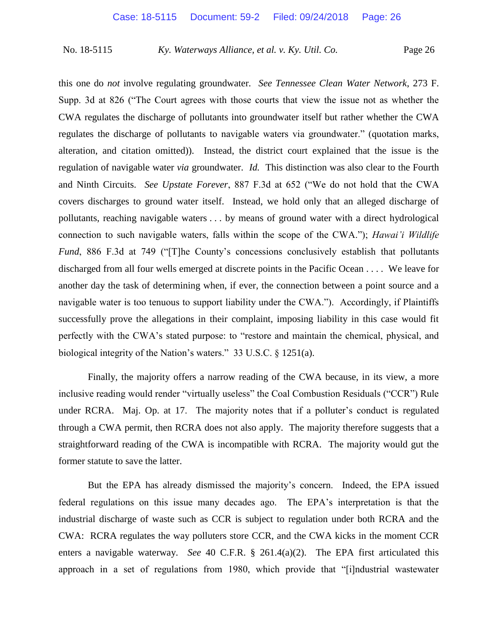this one do *not* involve regulating groundwater. *See Tennessee Clean Water Network*, 273 F. Supp. 3d at 826 ("The Court agrees with those courts that view the issue not as whether the CWA regulates the discharge of pollutants into groundwater itself but rather whether the CWA regulates the discharge of pollutants to navigable waters via groundwater." (quotation marks, alteration, and citation omitted)). Instead, the district court explained that the issue is the regulation of navigable water *via* groundwater. *Id.* This distinction was also clear to the Fourth and Ninth Circuits. *See Upstate Forever*, 887 F.3d at 652 ("We do not hold that the CWA covers discharges to ground water itself. Instead, we hold only that an alleged discharge of pollutants, reaching navigable waters . . . by means of ground water with a direct hydrological connection to such navigable waters, falls within the scope of the CWA."); *Hawai'i Wildlife Fund*, 886 F.3d at 749 ("[T]he County's concessions conclusively establish that pollutants discharged from all four wells emerged at discrete points in the Pacific Ocean . . . . We leave for another day the task of determining when, if ever, the connection between a point source and a navigable water is too tenuous to support liability under the CWA."). Accordingly, if Plaintiffs successfully prove the allegations in their complaint, imposing liability in this case would fit perfectly with the CWA's stated purpose: to "restore and maintain the chemical, physical, and biological integrity of the Nation's waters." 33 U.S.C. § 1251(a).

Finally, the majority offers a narrow reading of the CWA because, in its view, a more inclusive reading would render "virtually useless" the Coal Combustion Residuals ("CCR") Rule under RCRA. Maj. Op. at 17. The majority notes that if a polluter's conduct is regulated through a CWA permit, then RCRA does not also apply. The majority therefore suggests that a straightforward reading of the CWA is incompatible with RCRA. The majority would gut the former statute to save the latter.

But the EPA has already dismissed the majority's concern. Indeed, the EPA issued federal regulations on this issue many decades ago. The EPA's interpretation is that the industrial discharge of waste such as CCR is subject to regulation under both RCRA and the CWA: RCRA regulates the way polluters store CCR, and the CWA kicks in the moment CCR enters a navigable waterway. *See* 40 C.F.R. § 261.4(a)(2). The EPA first articulated this approach in a set of regulations from 1980, which provide that "[i]ndustrial wastewater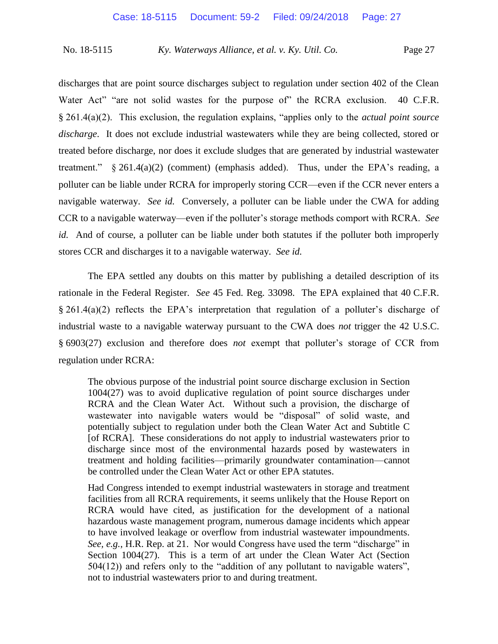discharges that are point source discharges subject to regulation under section 402 of the Clean Water Act" "are not solid wastes for the purpose of" the RCRA exclusion. 40 C.F.R. § 261.4(a)(2). This exclusion, the regulation explains, "applies only to the *actual point source discharge*. It does not exclude industrial wastewaters while they are being collected, stored or treated before discharge, nor does it exclude sludges that are generated by industrial wastewater treatment." § 261.4(a)(2) (comment) (emphasis added). Thus, under the EPA's reading, a polluter can be liable under RCRA for improperly storing CCR—even if the CCR never enters a navigable waterway. *See id.* Conversely, a polluter can be liable under the CWA for adding CCR to a navigable waterway—even if the polluter's storage methods comport with RCRA. *See id.* And of course, a polluter can be liable under both statutes if the polluter both improperly stores CCR and discharges it to a navigable waterway. *See id.*

The EPA settled any doubts on this matter by publishing a detailed description of its rationale in the Federal Register. *See* 45 Fed. Reg. 33098. The EPA explained that 40 C.F.R. § 261.4(a)(2) reflects the EPA's interpretation that regulation of a polluter's discharge of industrial waste to a navigable waterway pursuant to the CWA does *not* trigger the 42 U.S.C. § 6903(27) exclusion and therefore does *not* exempt that polluter's storage of CCR from regulation under RCRA:

The obvious purpose of the industrial point source discharge exclusion in Section 1004(27) was to avoid duplicative regulation of point source discharges under RCRA and the Clean Water Act. Without such a provision, the discharge of wastewater into navigable waters would be "disposal" of solid waste, and potentially subject to regulation under both the Clean Water Act and Subtitle C [of RCRA]. These considerations do not apply to industrial wastewaters prior to discharge since most of the environmental hazards posed by wastewaters in treatment and holding facilities—primarily groundwater contamination—cannot be controlled under the Clean Water Act or other EPA statutes.

Had Congress intended to exempt industrial wastewaters in storage and treatment facilities from all RCRA requirements, it seems unlikely that the House Report on RCRA would have cited, as justification for the development of a national hazardous waste management program, numerous damage incidents which appear to have involved leakage or overflow from industrial wastewater impoundments. *See, e.g.*, H.R. Rep. at 21. Nor would Congress have used the term "discharge" in Section 1004(27). This is a term of art under the Clean Water Act (Section 504(12)) and refers only to the "addition of any pollutant to navigable waters", not to industrial wastewaters prior to and during treatment.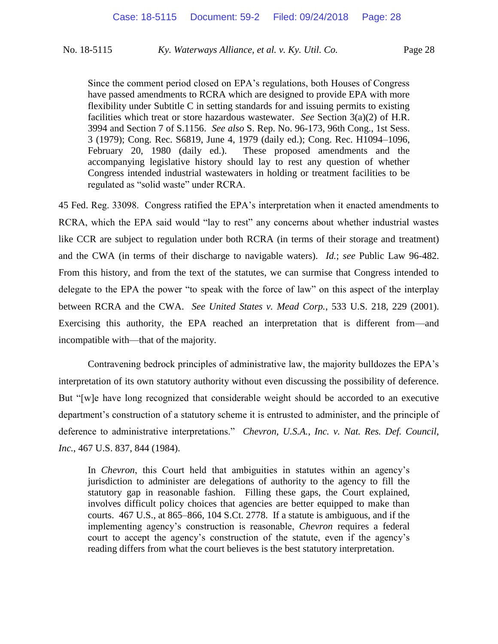Since the comment period closed on EPA's regulations, both Houses of Congress have passed amendments to RCRA which are designed to provide EPA with more flexibility under Subtitle C in setting standards for and issuing permits to existing facilities which treat or store hazardous wastewater. *See* Section 3(a)(2) of H.R. 3994 and Section 7 of S.1156. *See also* S. Rep. No. 96-173, 96th Cong., 1st Sess. 3 (1979); Cong. Rec. S6819, June 4, 1979 (daily ed.); Cong. Rec. H1094–1096, February 20, 1980 (daily ed.). These proposed amendments and the accompanying legislative history should lay to rest any question of whether Congress intended industrial wastewaters in holding or treatment facilities to be regulated as "solid waste" under RCRA.

45 Fed. Reg. 33098. Congress ratified the EPA's interpretation when it enacted amendments to RCRA, which the EPA said would "lay to rest" any concerns about whether industrial wastes like CCR are subject to regulation under both RCRA (in terms of their storage and treatment) and the CWA (in terms of their discharge to navigable waters). *Id.*; *see* Public Law 96-482. From this history, and from the text of the statutes, we can surmise that Congress intended to delegate to the EPA the power "to speak with the force of law" on this aspect of the interplay between RCRA and the CWA. *See United States v. Mead Corp.*, 533 U.S. 218, 229 (2001). Exercising this authority, the EPA reached an interpretation that is different from—and incompatible with—that of the majority.

Contravening bedrock principles of administrative law, the majority bulldozes the EPA's interpretation of its own statutory authority without even discussing the possibility of deference. But "[w]e have long recognized that considerable weight should be accorded to an executive department's construction of a statutory scheme it is entrusted to administer, and the principle of deference to administrative interpretations." *Chevron, U.S.A., Inc. v. Nat. Res. Def. Council, Inc.*, 467 U.S. 837, 844 (1984).

In *Chevron*, this Court held that ambiguities in statutes within an agency's jurisdiction to administer are delegations of authority to the agency to fill the statutory gap in reasonable fashion. Filling these gaps, the Court explained, involves difficult policy choices that agencies are better equipped to make than courts. 467 U.S., at 865–866, 104 S.Ct. 2778. If a statute is ambiguous, and if the implementing agency's construction is reasonable, *Chevron* requires a federal court to accept the agency's construction of the statute, even if the agency's reading differs from what the court believes is the best statutory interpretation.